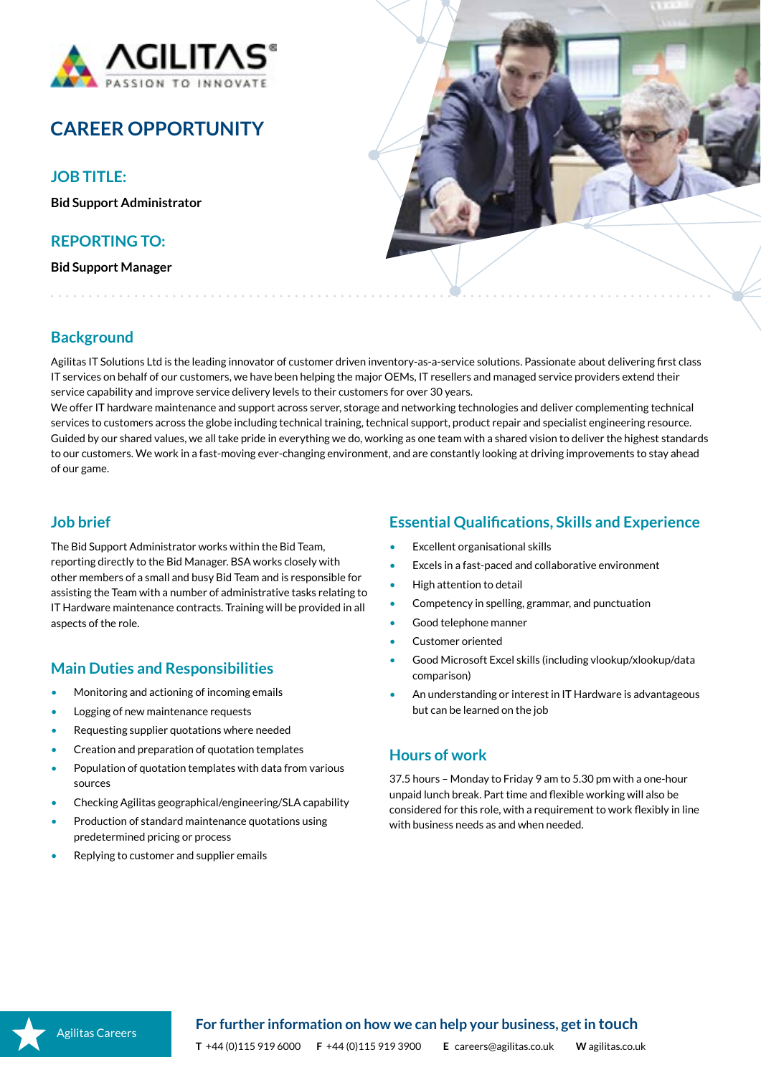

# **CAREER OPPORTUNITY**

**JOB TITLE:**

**Bid Support Administrator**

#### **REPORTING TO:**

**Bid Support Manager**



# **Background**

Agilitas IT Solutions Ltd is the leading innovator of customer driven inventory-as-a-service solutions. Passionate about delivering first class IT services on behalf of our customers, we have been helping the major OEMs, IT resellers and managed service providers extend their service capability and improve service delivery levels to their customers for over 30 years.

We offer IT hardware maintenance and support across server, storage and networking technologies and deliver complementing technical services to customers across the globe including technical training, technical support, product repair and specialist engineering resource. Guided by our shared values, we all take pride in everything we do, working as one team with a shared vision to deliver the highest standards to our customers. We work in a fast-moving ever-changing environment, and are constantly looking at driving improvements to stay ahead of our game.

#### **Job brief**

The Bid Support Administrator works within the Bid Team, reporting directly to the Bid Manager. BSA works closely with other members of a small and busy Bid Team and is responsible for assisting the Team with a number of administrative tasks relating to IT Hardware maintenance contracts. Training will be provided in all aspects of the role.

## **Main Duties and Responsibilities**

- Monitoring and actioning of incoming emails
- Logging of new maintenance requests
- Requesting supplier quotations where needed
- Creation and preparation of quotation templates
- Population of quotation templates with data from various sources
- Checking Agilitas geographical/engineering/SLA capability
- Production of standard maintenance quotations using predetermined pricing or process
- Replying to customer and supplier emails

#### **Essential Qualifications, Skills and Experience**

- Excellent organisational skills
- Excels in a fast-paced and collaborative environment
- High attention to detail
- Competency in spelling, grammar, and punctuation
- Good telephone manner
- Customer oriented
- Good Microsoft Excel skills (including vlookup/xlookup/data comparison)
- An understanding or interest in IT Hardware is advantageous but can be learned on the job

#### **Hours of work**

37.5 hours – Monday to Friday 9 am to 5.30 pm with a one-hour unpaid lunch break. Part time and flexible working will also be considered for this role, with a requirement to work flexibly in line with business needs as and when needed.